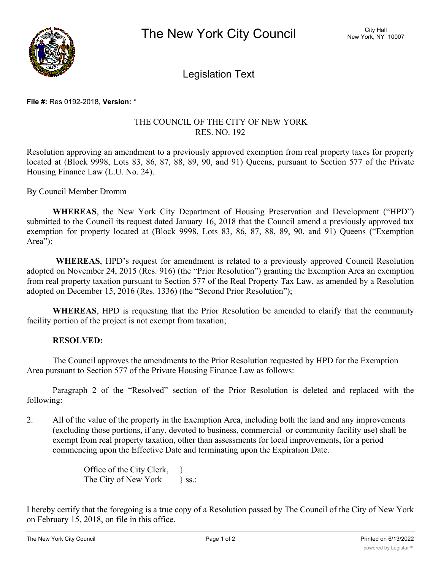

Legislation Text

## **File #:** Res 0192-2018, **Version:** \*

## THE COUNCIL OF THE CITY OF NEW YORK RES. NO. 192

Resolution approving an amendment to a previously approved exemption from real property taxes for property located at (Block 9998, Lots 83, 86, 87, 88, 89, 90, and 91) Queens, pursuant to Section 577 of the Private Housing Finance Law (L.U. No. 24).

By Council Member Dromm

**WHEREAS**, the New York City Department of Housing Preservation and Development ("HPD") submitted to the Council its request dated January 16, 2018 that the Council amend a previously approved tax exemption for property located at (Block 9998, Lots 83, 86, 87, 88, 89, 90, and 91) Queens ("Exemption Area"):

**WHEREAS**, HPD's request for amendment is related to a previously approved Council Resolution adopted on November 24, 2015 (Res. 916) (the "Prior Resolution") granting the Exemption Area an exemption from real property taxation pursuant to Section 577 of the Real Property Tax Law, as amended by a Resolution adopted on December 15, 2016 (Res. 1336) (the "Second Prior Resolution");

**WHEREAS**, HPD is requesting that the Prior Resolution be amended to clarify that the community facility portion of the project is not exempt from taxation;

## **RESOLVED:**

The Council approves the amendments to the Prior Resolution requested by HPD for the Exemption Area pursuant to Section 577 of the Private Housing Finance Law as follows:

Paragraph 2 of the "Resolved" section of the Prior Resolution is deleted and replaced with the following:

2. All of the value of the property in the Exemption Area, including both the land and any improvements (excluding those portions, if any, devoted to business, commercial or community facility use) shall be exempt from real property taxation, other than assessments for local improvements, for a period commencing upon the Effective Date and terminating upon the Expiration Date.

> Office of the City Clerk, } The City of New York \ ss.:

I hereby certify that the foregoing is a true copy of a Resolution passed by The Council of the City of New York on February 15, 2018, on file in this office.